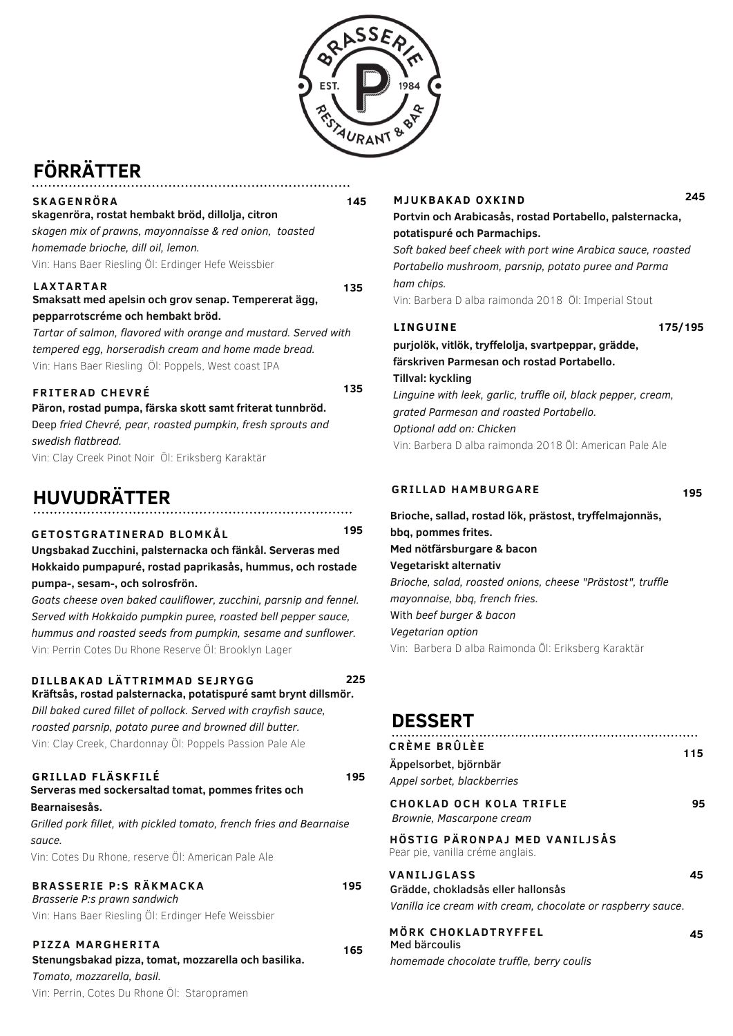

**145**

# **FÖRRÄTTER**

#### **SKAGENRÖRA skagenröra, rostat hembakt bröd, dillolja, citron** *skagen mix of prawns, mayonnaisse & red onion, toasted homemade brioche, dill oil, lemon.* Vin: Hans Baer Riesling Öl: Erdinger Hefe Weissbier

#### **LAXTARTAR Smaksatt med apelsin och grov senap. Tempererat ägg, pepparrotscréme och hembakt bröd. 135**

*Tartar of salmon, flavored with orange and mustard. Served with tempered egg, horseradish cream and home made bread.* Vin: Hans Baer Riesling Öl: Poppels, West coast IPA

#### **FRITERAD CHEVRÉ**

**Päron, rostad pumpa, färska skott samt friterat tunnbröd.** Deep *fried Chevré, pear, roasted pumpkin, fresh sprouts and swedish flatbread.*

Vin: Clay Creek Pinot Noir Öl: Eriksberg Karaktär

## **HUVUDRÄTTER**

#### **195**

**225**

**195**

**195**

**135**

**GETOSTGRATINERAD BLO M KÅL Ungsbakad Zucchini, palsternacka och fänkål. Serveras med Hokkaido pumpapuré, rostad paprikasås, hummus, och rostade pumpa-, sesam-, och solrosfrön.**

*Goats cheese oven baked cauliflower, zucchini, parsnip and fennel. Served with Hokkaido pumpkin puree, roasted bell pepper sauce, hummus and roasted seeds from pumpkin, sesame and sunflower.* Vin: Perrin Cotes Du Rhone Reserve Öl: Brooklyn Lager

#### **DI L LBAKAD LÄTTRI M M AD SEJRYGG**

**Kräftsås, rostad palsternacka, potatispuré samt brynt dillsmör.** *Dill baked cured fillet of pollock. Served with crayfish sauce, roasted parsnip, potato puree and browned dill butter.* Vin: Clay Creek, Chardonnay Öl: Poppels Passion Pale Ale

#### **Serveras med sockersaltad tomat, pommes frites och Bearnaisesås. GRI L LAD F LÄSKF I LÉ**

*Grilled pork fillet, with pickled tomato, french fries and Bearnaise sauce.* Vin: Cotes Du Rhone, reserve Öl: American Pale Ale

#### *Brasserie P:s prawn sandwich* **BRASSERIE P:S RÄK M ACKA**

Vin: Hans Baer Riesling Öl: Erdinger Hefe Weissbier

**Stenungsbakad pizza, tomat, mozzarella och basilika.** *Tomato, mozzarella, basil.* Vin: Perrin, Cotes Du Rhone Öl: Staropramen **PIZZA <sup>M</sup> ARGHERITA <sup>165</sup>**

#### **M JUKBAKAD OXKIND 245**

#### **Portvin och Arabicasås, rostad Portabello, palsternacka, potatispuré och Parmachips.**

*Soft baked beef cheek with port wine Arabica sauce, roasted Portabello mushroom, parsnip, potato puree and Parma ham chips.*

Vin: Barbera D alba raimonda 2018 Öl: Imperial Stout

#### **L INGUINE**

**175/195**

**purjolök, vitlök, tryffelolja, svartpeppar, grädde, färskriven Parmesan och rostad Portabello. Tillval: kyckling** *Linguine with leek, garlic, truffle oil, black pepper, cream, grated Parmesan and roasted Portabello. Optional add on: Chicken* Vin: Barbera D alba raimonda 2018 Öl: American Pale Ale

#### **GRI L LAD HA M BURGARE**

**195**

**Brioche, sallad, rostad lök, prästost, tryffelmajonnäs, bbq, pommes frites. Med nötfärsburgare & bacon Vegetariskt alternativ** *Brioche, salad, roasted onions, cheese "Prästost", truffle mayonnaise, bbq, french fries.* With *beef burger & bacon Vegetarian option* Vin: Barbera D alba Raimonda Öl: Eriksberg Karaktär

### **DESSERT**

| CRÈME BRÛLÈE<br>Äppelsorbet, björnbär<br>Appel sorbet, blackberries                                              | 115 |
|------------------------------------------------------------------------------------------------------------------|-----|
| <b>CHOKLAD OCH KOLA TRIFLE</b><br>Brownie, Mascarpone cream                                                      | 95  |
| HÖSTIG PÄRONPAJ MED VANILJSÅS<br>Pear pie, vanilla créme anglais.                                                |     |
| VANILJGLASS<br>Grädde, chokladsås eller hallonsås<br>Vanilla ice cream with cream, chocolate or raspberry sauce. | 45  |
| MÖRK CHOKLADTRYFFEL<br>Med bärcoulis                                                                             | 45  |

*homemade chocolate truffle, berry coulis*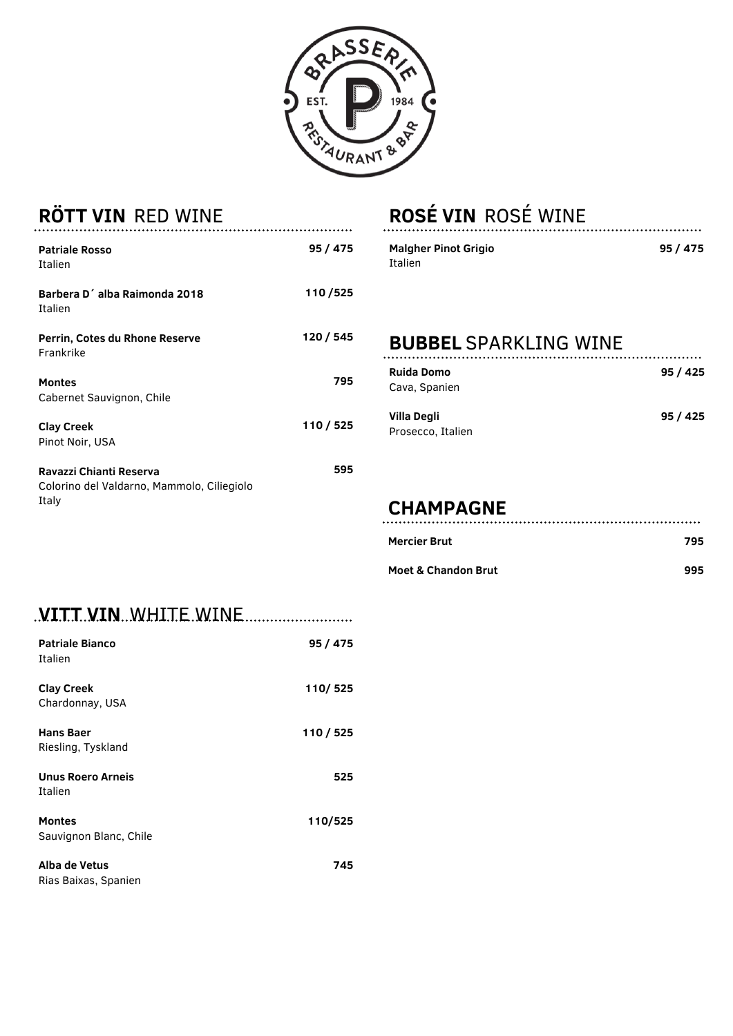

| <b>ROTT VIN RED WINE</b>                                                       |           |
|--------------------------------------------------------------------------------|-----------|
| <b>Patriale Rosso</b><br>Italien                                               | 95 / 475  |
| Barbera D'alba Raimonda 2018<br>Italien                                        | 110/525   |
| Perrin, Cotes du Rhone Reserve<br>Frankrike                                    | 120 / 545 |
| <b>Montes</b><br>Cabernet Sauvignon, Chile                                     | 795       |
| <b>Clay Creek</b><br>Pinot Noir, USA                                           | 110 / 525 |
| Ravazzi Chianti Reserva<br>Colorino del Valdarno, Mammolo, Ciliegiolo<br>Italy | 595       |

# **ROSÉ VIN** ROSÉ WINE

| <b>Malgher Pinot Grigio</b> | 95/475 |
|-----------------------------|--------|
| Italien                     |        |
|                             |        |
|                             |        |
|                             |        |

| <b>BUBBEL SPARKLING WINE</b>       |        |
|------------------------------------|--------|
| <b>Ruida Domo</b><br>Cava, Spanien | 95/425 |
| Villa Degli<br>Prosecco, Italien   | 95/425 |

# **CHAMPAGNE**

| Mercier Brut | 795 |
|--------------|-----|
|              |     |

| . <b>VITT.VIN</b> WHITE.WINE            | . <b>.</b> |
|-----------------------------------------|------------|
| <b>Patriale Bianco</b><br>Italien       | 95 / 475   |
| <b>Clay Creek</b><br>Chardonnay, USA    | 110/525    |
| Hans Baer<br>Riesling, Tyskland         | 110/525    |
| <b>Unus Roero Arneis</b><br>Italien     | 525        |
| <b>Montes</b><br>Sauvignon Blanc, Chile | 110/525    |
| Alba de Vetus<br>Rias Baixas, Spanien   | 745        |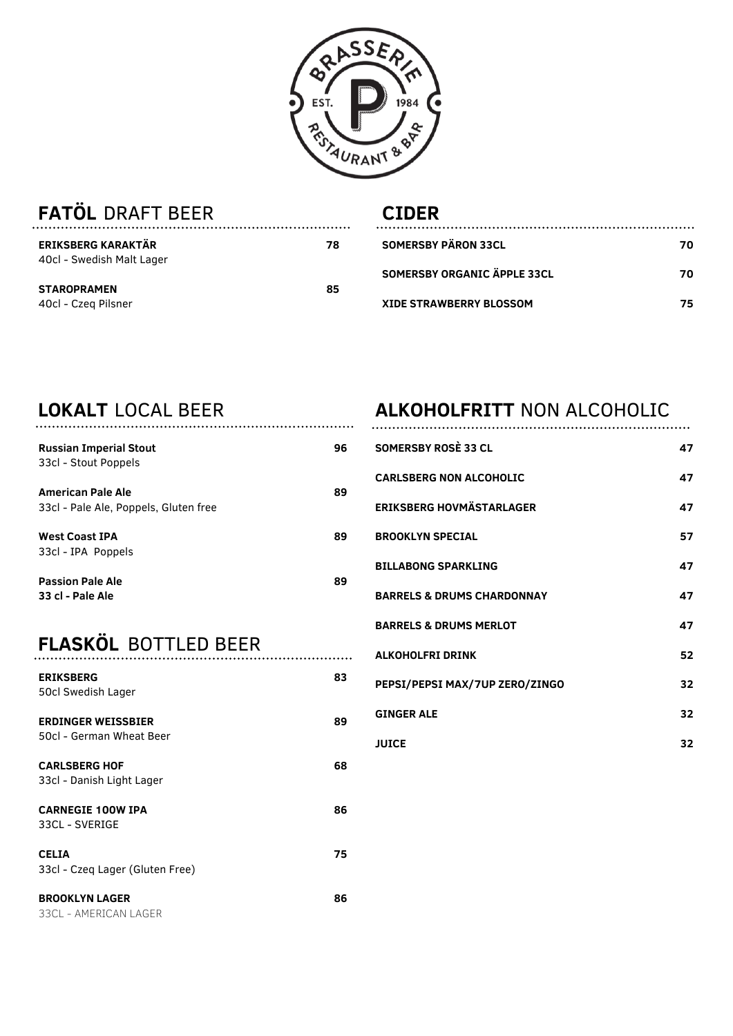

| <b>FATOL DRAFT BEER</b> |  |
|-------------------------|--|
|                         |  |

#### **CIDERSOMERSBY PÄRON 33CL**

| <b>ERIKSBERG KARAKTÄR</b> | 78 | <b>SOMERSBY PARON 33CL</b>  | 70 |
|---------------------------|----|-----------------------------|----|
| 40cl - Swedish Malt Lager |    |                             |    |
|                           |    | SOMERSBY ORGANIC APPLE 33CL | 70 |
| <b>STAROPRAMEN</b>        | 85 |                             |    |
| 40cl - Czeg Pilsner       |    | XIDE STRAWBERRY BLOSSOM     | 75 |

# **LOKALT** LOCAL BEER

| <b>Russian Imperial Stout</b><br>33cl - Stout Poppels             | 96 |
|-------------------------------------------------------------------|----|
| <b>American Pale Ale</b><br>33cl - Pale Ale, Poppels, Gluten free | 89 |
| <b>West Coast IPA</b><br>33cl - IPA Poppels                       | 89 |
| <b>Passion Pale Ale</b><br>33 cl - Pale Ale                       | 89 |

## **FLASKÖL** BOTTLED BEER

| <b>ERIKSBERG</b><br>50cl Swedish Lager                | 83 |
|-------------------------------------------------------|----|
| <b>ERDINGER WEISSBIER</b><br>50cl - German Wheat Beer | 89 |
| <b>CARLSBERG HOF</b><br>33cl - Danish Light Lager     | 68 |
| <b>CARNEGIE 100W IPA</b><br>33CL - SVERIGE            | 86 |
| <b>CELIA</b><br>33cl - Czeg Lager (Gluten Free)       | 75 |
| <b>BROOKLYN LAGER</b><br>33CL - AMERICAN LAGER        | 86 |

..................

### **ALKOHOLFRITT** NON ALCOHOLIC

| SOMERSBY ROSE 33 CL                   | 47 |
|---------------------------------------|----|
| <b>CARLSBERG NON ALCOHOLIC</b>        | 47 |
| <b>ERIKSBERG HOVMÄSTARLAGER</b>       | 47 |
| <b>BROOKLYN SPECIAL</b>               | 57 |
| <b>BILLABONG SPARKLING</b>            | 47 |
| <b>BARRELS &amp; DRUMS CHARDONNAY</b> | 47 |
| <b>BARRELS &amp; DRUMS MERLOT</b>     | 47 |
| <b>ALKOHOLFRI DRINK</b>               | 52 |
| PEPSI/PEPSI MAX/7UP ZERO/ZINGO        | 32 |
| <b>GINGER ALE</b>                     | 32 |
| <b>JUICE</b>                          | 32 |